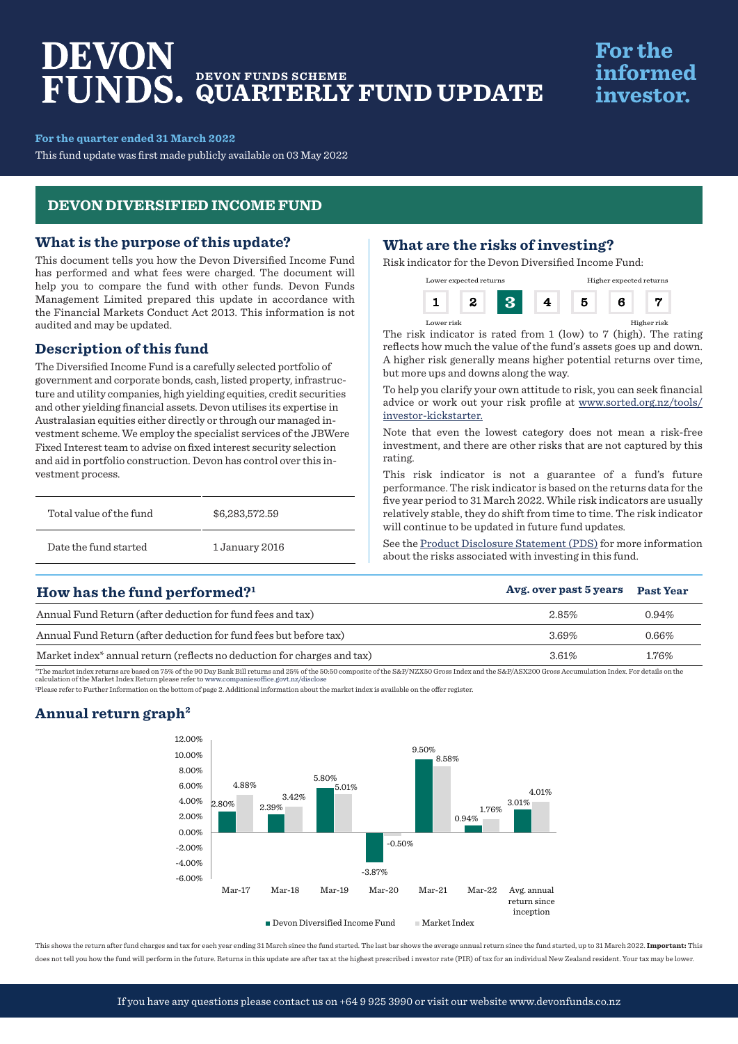# DEVON **DEVON FUNDS SCHEME QUARTERLY FUND UPDATE**

# **For the** informed investor.

#### **For the quarter ended 31 March 2022**

This fund update was first made publicly available on 03 May 2022

## **DEVON DIVERSIFIED INCOME FUND**

### **What is the purpose of this update?**

This document tells you how the Devon Diversified Income Fund has performed and what fees were charged. The document will help you to compare the fund with other funds. Devon Funds Management Limited prepared this update in accordance with the Financial Markets Conduct Act 2013. This information is not audited and may be updated.

## **Description of this fund**

The Diversified Income Fund is a carefully selected portfolio of government and corporate bonds, cash, listed property, infrastructure and utility companies, high yielding equities, credit securities and other yielding financial assets. Devon utilises its expertise in Australasian equities either directly or through our managed investment scheme. We employ the specialist services of the JBWere Fixed Interest team to advise on fixed interest security selection and aid in portfolio construction. Devon has control over this investment process.

| Total value of the fund | \$6,283,572.59 |  |
|-------------------------|----------------|--|
| Date the fund started   | 1 January 2016 |  |

## **What are the risks of investing?**

Risk indicator for the Devon Diversified Income Fund:



The risk indicator is rated from 1 (low) to 7 (high). The rating reflects how much the value of the fund's assets goes up and down. A higher risk generally means higher potential returns over time, but more ups and downs along the way.

Lower risk Higher risk

To help you clarify your own attitude to risk, you can seek financial advice or work out your risk profile at www.sorted.org.nz/tools/ investor-kickstarter.

Note that even the lowest category does not mean a risk-free investment, and there are other risks that are not captured by this rating.

This risk indicator is not a guarantee of a fund's future performance. The risk indicator is based on the returns data for the five year period to 31 March 2022. While risk indicators are usually relatively stable, they do shift from time to time. The risk indicator will continue to be updated in future fund updates.

See the [Product Disclosure Statement \(PDS\)](https://devonfunds.co.nz/sites/default/files/Devon%20Investment%20Funds%20Product%20Disclosure%20Statement.pdf) for more information about the risks associated with investing in this fund.

| How has the fund performed? <sup>1</sup>                                            | Avg. over past 5 years | <b>Past Year</b> |
|-------------------------------------------------------------------------------------|------------------------|------------------|
| Annual Fund Return (after deduction for fund fees and tax)                          | 2.85%                  | $0.94\%$         |
| Annual Fund Return (after deduction for fund fees but before tax)                   | 3.69%                  | $0.66\%$         |
| Market index <sup>*</sup> annual return (reflects no deduction for charges and tax) | $3.61\%$               | 1.76%            |

\*The market index returns are based on 75% of the 90 Day Bank Bill returns and 25% of the 50:50 composite of the S&P/NZX50 Gross Index and the S&P/ASX200 Gross Accumulation Index. For details on the<br>calculation of the Mark

1 Please refer to Further Information on the bottom of page 2. Additional information about the market index is available on the offer register.

## **Annual return graph2**



This shows the return after fund charges and tax for each year ending 31 March since the fund started. The last bar shows the average annual return since the fund started, up to 31 March 2022. **Important:** This does not tell you how the fund will perform in the future. Returns in this update are after tax at the highest prescribed i nvestor rate (PIR) of tax for an individual New Zealand resident. Your tax may be lower.